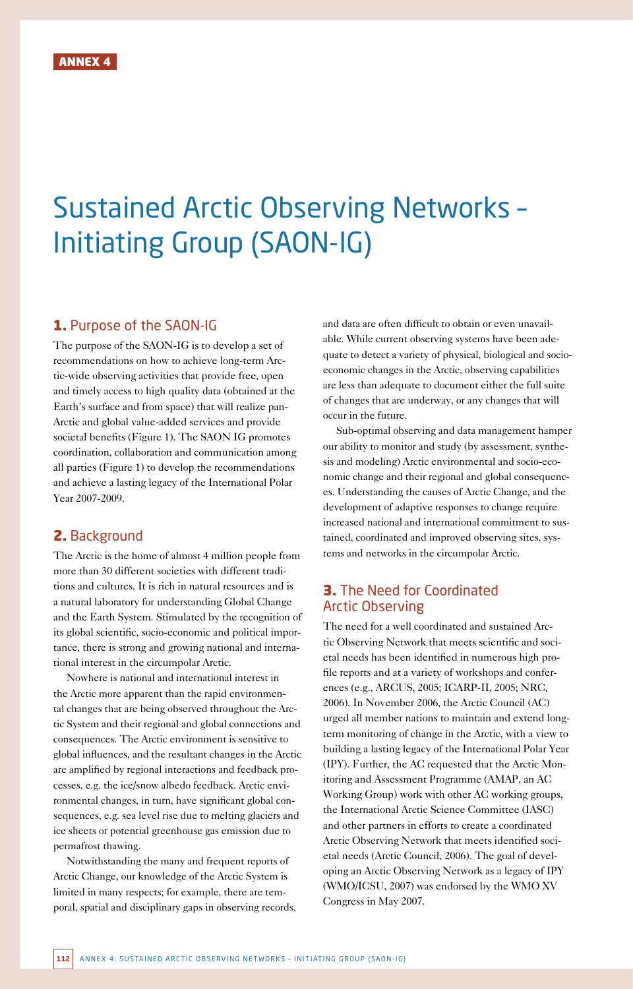# Sustained Arctic Observing Networks – Initiating Group (SAON-IG)

## 1. Purpose of the SAON-IG

The purpose of the SAON-IG is to develop a set of recommendations on how to achieve long-term Arctic-wide observing activities that provide free, open and timely access to high quality data (obtained at the Earth's surface and from space) that will realize pan-Arctic and global value-added services and provide societal benefits (Figure 1). The SAON IG promotes coordination, collaboration and communication among all parties (Figure 1) to develop the recommendations and achieve a lasting legacy of the International Polar Year 2007-2009.

## 2. Background

The Arctic is the home of almost 4 million people from more than 30 different societies with different traditions and cultures. It is rich in natural resources and is a natural laboratory for understanding Global Change and the Earth System. Stimulated by the recognition of its global scientific, socio-economic and political importance, there is strong and growing national and international interest in the circumpolar Arctic.

Nowhere is national and international interest in the Arctic more apparent than the rapid environmental changes that are being observed throughout the Arctic System and their regional and global connections and consequences. The Arctic environment is sensitive to global influences, and the resultant changes in the Arctic are amplified by regional interactions and feedback processes, e.g. the ice/snow albedo feedback. Arctic environmental changes, in turn, have significant global consequences, e.g. sea level rise due to melting glaciers and ice sheets or potential greenhouse gas emission due to permafrost thawing.

Notwithstanding the many and frequent reports of Arctic Change, our knowledge of the Arctic System is limited in many respects; for example, there are temporal, spatial and disciplinary gaps in observing records, and data are often difficult to obtain or even unavailable. While current observing systems have been adequate to detect a variety of physical, biological and socioeconomic changes in the Arctic, observing capabilities are less than adequate to document either the full suite of changes that are underway, or any changes that will occur in the future.

Sub-optimal observing and data management hamper our ability to monitor and study (by assessment, synthesis and modeling) Arctic environmental and socio-economic change and their regional and global consequences. Understanding the causes of Arctic Change, and the development of adaptive responses to change require increased national and international commitment to sustained, coordinated and improved observing sites, systems and networks in the circumpolar Arctic.

## 3. The Need for Coordinated Arctic Observing

The need for a well coordinated and sustained Arctic Observing Network that meets scientific and societal needs has been identified in numerous high profile reports and at a variety of workshops and conferences (e.g., ARCUS, 2005; ICARP-II, 2005; NRC, 2006). In November 2006, the Arctic Council (AC) urged all member nations to maintain and extend longterm monitoring of change in the Arctic, with a view to building a lasting legacy of the International Polar Year (IPY). Further, the AC requested that the Arctic Monitoring and Assessment Programme (AMAP, an AC Working Group) work with other AC working groups, the International Arctic Science Committee (IASC) and other partners in efforts to create a coordinated Arctic Observing Network that meets identified societal needs (Arctic Council, 2006). The goal of developing an Arctic Observing Network as a legacy of IPY (WMO/ICSU, 2007) was endorsed by the WMO XV Congress in May 2007.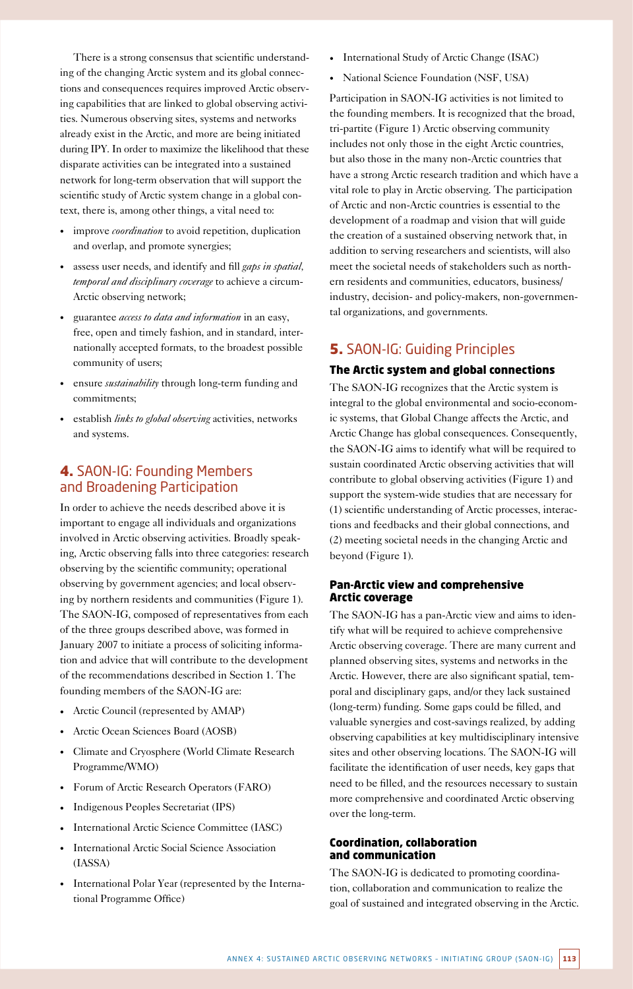There is a strong consensus that scientific understanding of the changing Arctic system and its global connections and consequences requires improved Arctic observing capabilities that are linked to global observing activities. Numerous observing sites, systems and networks already exist in the Arctic, and more are being initiated during IPY. In order to maximize the likelihood that these disparate activities can be integrated into a sustained network for long-term observation that will support the scientific study of Arctic system change in a global context, there is, among other things, a vital need to:

- improve *coordination* to avoid repetition, duplication and overlap, and promote synergies;
- • assess user needs, and identify and fill *gaps in spatial, temporal and disciplinary coverage* to achieve a circum-Arctic observing network;
- • guarantee *access to data and information* in an easy, free, open and timely fashion, and in standard, internationally accepted formats, to the broadest possible community of users;
- • ensure *sustainability* through long-term funding and commitments;
- establish *links to global observing* activities, networks and systems.

# 4. SAON-IG: Founding Members and Broadening Participation

In order to achieve the needs described above it is important to engage all individuals and organizations involved in Arctic observing activities. Broadly speaking, Arctic observing falls into three categories: research observing by the scientific community; operational observing by government agencies; and local observing by northern residents and communities (Figure 1). The SAON-IG, composed of representatives from each of the three groups described above, was formed in January 2007 to initiate a process of soliciting information and advice that will contribute to the development of the recommendations described in Section 1. The founding members of the SAON-IG are:

- • Arctic Council (represented by AMAP)
- Arctic Ocean Sciences Board (AOSB)
- Climate and Cryosphere (World Climate Research Programme/WMO)
- Forum of Arctic Research Operators (FARO)
- • Indigenous Peoples Secretariat (IPS)
- • International Arctic Science Committee (IASC)
- International Arctic Social Science Association (IASSA)
- International Polar Year (represented by the International Programme Office)
- • International Study of Arctic Change (ISAC)
- National Science Foundation (NSF, USA)

Participation in SAON-IG activities is not limited to the founding members. It is recognized that the broad, tri-partite (Figure 1) Arctic observing community includes not only those in the eight Arctic countries, but also those in the many non-Arctic countries that have a strong Arctic research tradition and which have a vital role to play in Arctic observing. The participation of Arctic and non-Arctic countries is essential to the development of a roadmap and vision that will guide the creation of a sustained observing network that, in addition to serving researchers and scientists, will also meet the societal needs of stakeholders such as northern residents and communities, educators, business/ industry, decision- and policy-makers, non-governmental organizations, and governments.

## 5. SAON-IG: Guiding Principles

#### The Arctic system and global connections

The SAON-IG recognizes that the Arctic system is integral to the global environmental and socio-economic systems, that Global Change affects the Arctic, and Arctic Change has global consequences. Consequently, the SAON-IG aims to identify what will be required to sustain coordinated Arctic observing activities that will contribute to global observing activities (Figure 1) and support the system-wide studies that are necessary for (1) scientific understanding of Arctic processes, interactions and feedbacks and their global connections, and (2) meeting societal needs in the changing Arctic and beyond (Figure 1).

#### Pan-Arctic view and comprehensive Arctic coverage

The SAON-IG has a pan-Arctic view and aims to identify what will be required to achieve comprehensive Arctic observing coverage. There are many current and planned observing sites, systems and networks in the Arctic. However, there are also significant spatial, temporal and disciplinary gaps, and/or they lack sustained (long-term) funding. Some gaps could be filled, and valuable synergies and cost-savings realized, by adding observing capabilities at key multidisciplinary intensive sites and other observing locations. The SAON-IG will facilitate the identification of user needs, key gaps that need to be filled, and the resources necessary to sustain more comprehensive and coordinated Arctic observing over the long-term.

#### Coordination, collaboration and communication

The SAON-IG is dedicated to promoting coordination, collaboration and communication to realize the goal of sustained and integrated observing in the Arctic.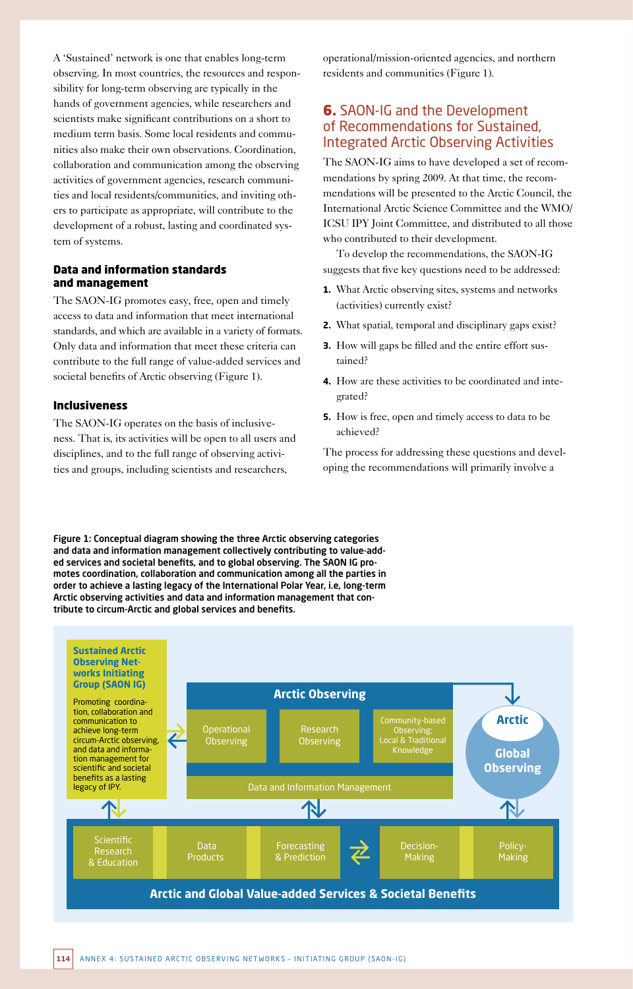A 'Sustained' network is one that enables long-term observing. In most countries, the resources and responsibility for long-term observing are typically in the hands of government agencies, while researchers and scientists make significant contributions on a short to medium term basis. Some local residents and communities also make their own observations. Coordination, collaboration and communication among the observing activities of government agencies, research communities and local residents/communities, and inviting others to participate as appropriate, will contribute to the development of a robust, lasting and coordinated system of systems.

#### Data and information standards and management

The SAON-IG promotes easy, free, open and timely access to data and information that meet international standards, and which are available in a variety of formats. Only data and information that meet these criteria can contribute to the full range of value-added services and societal benefits of Arctic observing (Figure 1).

#### Inclusiveness

The SAON-IG operates on the basis of inclusiveness. That is, its activities will be open to all users and disciplines, and to the full range of observing activities and groups, including scientists and researchers,

operational/mission-oriented agencies, and northern residents and communities (Figure 1).

# **6.** SAON-IG and the Development of Recommendations for Sustained, Integrated Arctic Observing Activities

The SAON-IG aims to have developed a set of recommendations by spring 2009. At that time, the recommendations will be presented to the Arctic Council, the International Arctic Science Committee and the WMO/ ICSU IPY Joint Committee, and distributed to all those who contributed to their development.

To develop the recommendations, the SAON-IG suggests that five key questions need to be addressed:

- **1.** What Arctic observing sites, systems and networks (activities) currently exist?
- **2.** What spatial, temporal and disciplinary gaps exist?
- **3.** How will gaps be filled and the entire effort sustained?
- **4.** How are these activities to be coordinated and integrated?
- **5.** How is free, open and timely access to data to be achieved?

The process for addressing these questions and developing the recommendations will primarily involve a

Figure 1: Conceptual diagram showing the three Arctic observing categories and data and information management collectively contributing to value-added services and societal benefits, and to global observing. The SAON IG promotes coordination, collaboration and communication among all the parties in order to achieve a lasting legacy of the International Polar Year, i.e, long-term Arctic observing activities and data and information management that contribute to circum-Arctic and global services and benefits.